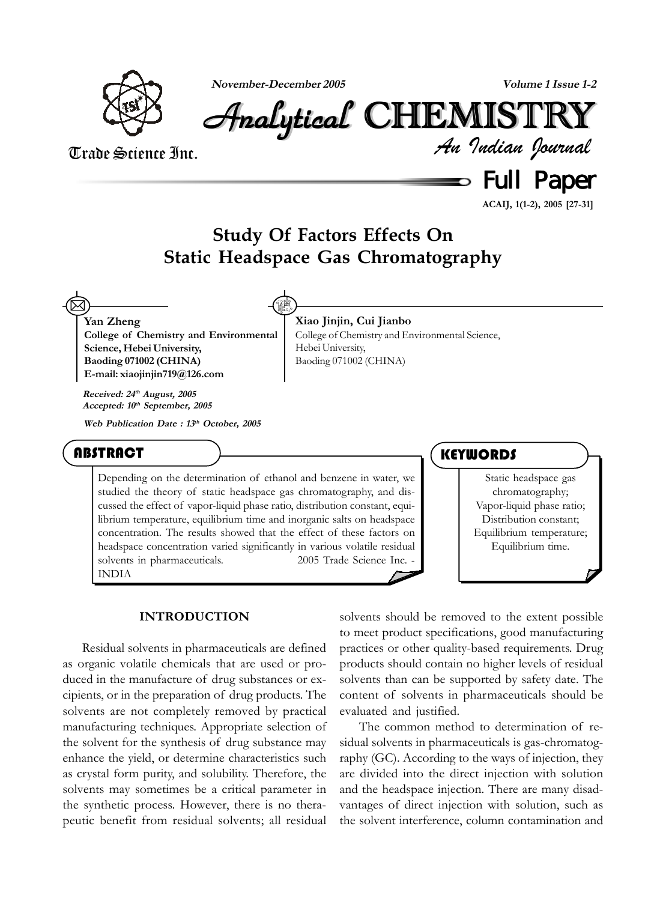

**November-December 2005 Volume 1 Issue 1-2**

*An Indian Journal* Analytical Analytical Analytical Analytical Analytical Analytical CHEMISTR CHEMISTR HEMISTR HEMISTRYY

# Trade Science Inc.

 $\,$  Full Paper

**ACAIJ, 1(1-2), 2005 [27-31]**

# **Study Of Factors Effects On Static Headspace Gas Chromatography**

**Yan Zheng College of Chemistry and Environmental Science, Hebei University, Baoding 071002 (CHINA) E-mail: xiaojinjin719@126.com** ⊠

**Received: 24th August, 2005 Accepted: 10th September, 2005**

**Web Publication Date : 13th October, 2005**

**Xiao Jinjin, Cui Jianbo** College of Chemistry and Environmental Science, Hebei University, Baoding 071002 (CHINA)

## ABSTRACT

Depending on the determination of ethanol and benzene in water, we studied the theory of static headspace gas chromatography, and discussed the effect of vapor-liquid phase ratio, distribution constant, equilibrium temperature, equilibrium time and inorganic salts on headspace concentration. The results showed that the effect of these factors on headspace concentration varied significantly in various volatile residual solvents in pharmaceuticals.  $\degree$  2005 Trade Science Inc. -INDIA

### **KEYWORDS**

Static headspace gas chromatography; Vapor-liquid phase ratio; Distribution constant; Equilibrium temperature; Equilibrium time.

#### **INTRODUCTION**

Residual solvents in pharmaceuticals are defined as organic volatile chemicals that are used or produced in the manufacture of drug substances or excipients, or in the preparation of drug products. The solvents are not completely removed by practical manufacturing techniques. Appropriate selection of the solvent for the synthesis of drug substance may enhance the yield, or determine characteristics such as crystal form purity, and solubility. Therefore, the solvents may sometimes be a critical parameter in the synthetic process. However, there is no therapeutic benefit from residual solvents; all residual solvents should be removed to the extent possible to meet product specifications, good manufacturing practices or other quality-based requirements. Drug products should contain no higher levels of residual solvents than can be supported by safety date. The content of solvents in pharmaceuticals should be evaluated and justified.

The common method to determination of residual solvents in pharmaceuticals is gas-chromatography (GC). According to the ways of injection, they are divided into the direct injection with solution and the headspace injection. There are many disadvantages of direct injection with solution, such as the solvent interference, column contamination and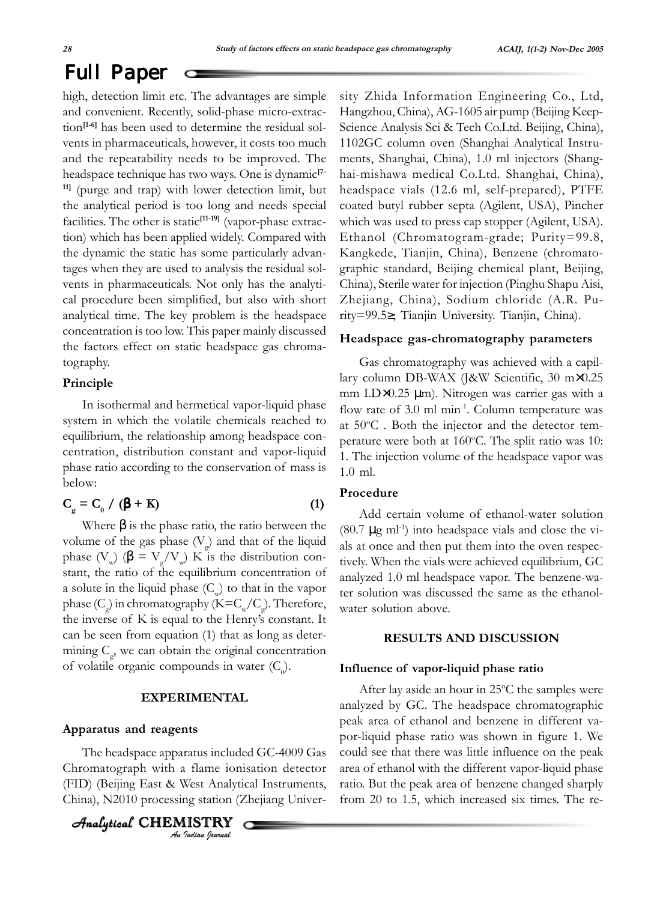# Full Paper

high, detection limit etc. The advantages are simple and convenient. Recently, solid-phase micro-extraction**[1-6]** has been used to determine the residual solvents in pharmaceuticals, however, it costs too much and the repeatability needs to be improved. The headspace technique has two ways. One is dynamic**[7- 11]** (purge and trap) with lower detection limit, but the analytical period is too long and needs special facilities. The other is static**[11-19]** (vapor-phase extraction) which has been applied widely. Compared with the dynamic the static has some particularly advantages when they are used to analysis the residual solvents in pharmaceuticals. Not only has the analytical procedure been simplified, but also with short analytical time. The key problem is the headspace concentration is too low. This paper mainly discussed the factors effect on static headspace gas chromatography.

#### **Principle**

In isothermal and hermetical vapor-liquid phase system in which the volatile chemicals reached to equilibrium, the relationship among headspace concentration, distribution constant and vapor-liquid phase ratio according to the conservation of mass is below:

$$
C_{g} = C_{0} / (\beta + K)
$$
 (1)

Where  $\beta$  is the phase ratio, the ratio between the volume of the gas phase  $(V_g)$  and that of the liquid phase (V<sub>w</sub>) (β = V<sub>g</sub>/V<sub>w</sub>) K is the distribution constant, the ratio of the equilibrium concentration of a solute in the liquid phase  $(C_w)$  to that in the vapor phase (C<sub>g</sub>) in chromatography (K=C<sub>w</sub>/C<sub>g</sub>). Therefore, the inverse of K is equal to the Henry's constant. It can be seen from equation (1) that as long as determining  $C_g$ , we can obtain the original concentration of volatile organic compounds in water  $(C_0)$ .

#### **EXPERIMENTAL**

#### **Apparatus and reagents**

The headspace apparatus included GC-4009 Gas Chromatograph with a flame ionisation detector (FID) (Beijing East & West Analytical Instruments, China), N2010 processing station (Zhejiang Univer-

*An Indian Journal* Analytical Analytical Analytical Analytical CHEMISTR HEMISTRY sity Zhida Information Engineering Co., Ltd, Hangzhou, China), AG-1605 air pump (Beijing Keep-Science Analysis Sci & Tech Co.Ltd. Beijing, China), 1102GC column oven (Shanghai Analytical Instruments, Shanghai, China), 1.0 ml injectors (Shanghai-mishawa medical Co.Ltd. Shanghai, China), headspace vials (12.6 ml, self-prepared), PTFE coated butyl rubber septa (Agilent, USA), Pincher which was used to press cap stopper (Agilent, USA). Ethanol (Chromatogram-grade; Purity=99.8, Kangkede, Tianjin, China), Benzene (chromatographic standard, Beijing chemical plant, Beijing, China), Sterile water for injection (Pinghu Shapu Aisi, Zhejiang, China), Sodium chloride (A.R. Purity=99.5≥, Tianjin University. Tianjin, China).

#### **Headspace gas-chromatography parameters**

Gas chromatography was achieved with a capillary column DB-WAX (J&W Scientific, 30 m×0.25 mm I.D×0.25 µm). Nitrogen was carrier gas with a flow rate of 3.0 ml min<sup>-1</sup>. Column temperature was at 50°C. Both the injector and the detector temperature were both at 160°C. The split ratio was 10: 1. The injection volume of the headspace vapor was 1.0 ml.

#### **Procedure**

Add certain volume of ethanol-water solution  $(80.7 \mu g \text{ ml}^{-1})$  into headspace vials and close the vials at once and then put them into the oven respectively. When the vials were achieved equilibrium, GC analyzed 1.0 ml headspace vapor. The benzene-water solution was discussed the same as the ethanolwater solution above.

#### **RESULTS AND DISCUSSION**

#### **Influence of vapor-liquid phase ratio**

After lay aside an hour in 25°C the samples were analyzed by GC. The headspace chromatographic peak area of ethanol and benzene in different vapor-liquid phase ratio was shown in figure 1. We could see that there was little influence on the peak area of ethanol with the different vapor-liquid phase ratio. But the peak area of benzene changed sharply from 20 to 1.5, which increased six times. The re-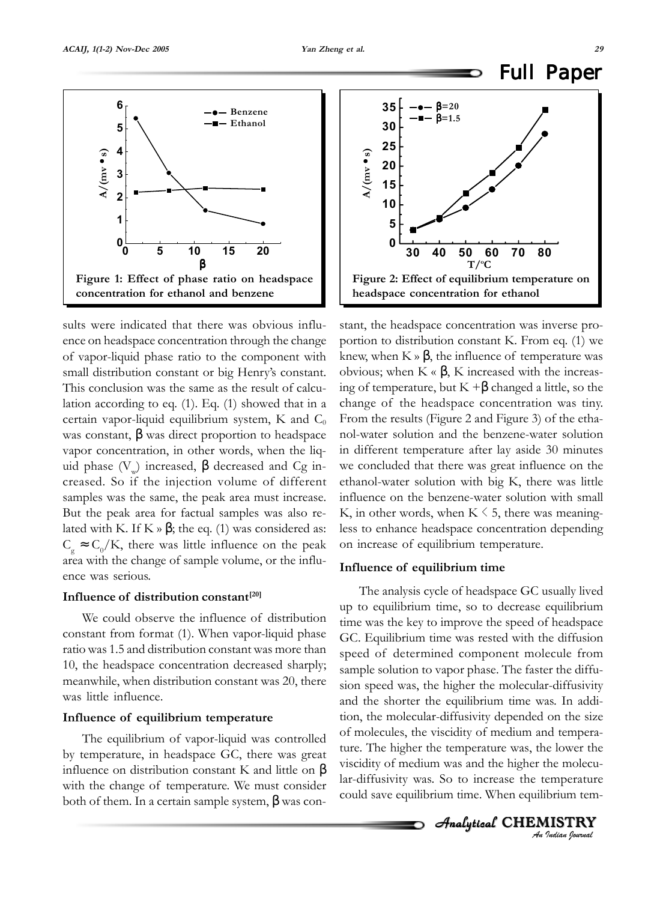

sults were indicated that there was obvious influence on headspace concentration through the change of vapor-liquid phase ratio to the component with small distribution constant or big Henry's constant. This conclusion was the same as the result of calculation according to eq. (1). Eq. (1) showed that in a certain vapor-liquid equilibrium system, K and  $C_0$ was constant,  $\beta$  was direct proportion to headspace vapor concentration, in other words, when the liquid phase  $(V)$  increased, β decreased and Cg increased. So if the injection volume of different samples was the same, the peak area must increase. But the peak area for factual samples was also related with K. If K »  $\beta$ ; the eq. (1) was considered as:  $C_{\rm g} \approx C_0/K$ , there was little influence on the peak area with the change of sample volume, or the influence was serious.

#### **Influence of distribution constant[20]**

We could observe the influence of distribution constant from format (1). When vapor-liquid phase ratio was 1.5 and distribution constant was more than 10, the headspace concentration decreased sharply; meanwhile, when distribution constant was 20, there was little influence.

#### **Influence of equilibrium temperature**

The equilibrium of vapor-liquid was controlled by temperature, in headspace GC, there was great influence on distribution constant K and little on  $\beta$ with the change of temperature. We must consider both of them. In a certain sample system,  $\beta$  was con-



stant, the headspace concentration was inverse proportion to distribution constant K. From eq. (1) we knew, when  $K \gg \beta$ , the influence of temperature was obvious; when  $K \propto \beta$ , K increased with the increasing of temperature, but  $K + \beta$  changed a little, so the change of the headspace concentration was tiny. From the results (Figure 2 and Figure 3) of the ethanol-water solution and the benzene-water solution in different temperature after lay aside 30 minutes we concluded that there was great influence on the ethanol-water solution with big K, there was little influence on the benzene-water solution with small K, in other words, when  $K \leq 5$ , there was meaningless to enhance headspace concentration depending on increase of equilibrium temperature. **Example 18**<br> **Example 18**<br> **Example 18**<br> **Example 2:** Effect of equilibrium temperature on<br> **Example 2:** Effect of equilibrium temperature on<br>
the<br>
sample concentration for ethanol<br>
stant, the headspace concentration was

#### **Influence of equilibrium time**

The analysis cycle of headspace GC usually lived up to equilibrium time, so to decrease equilibrium time was the key to improve the speed of headspace GC. Equilibrium time was rested with the diffusion speed of determined component molecule from sample solution to vapor phase. The faster the diffusion speed was, the higher the molecular-diffusivity and the shorter the equilibrium time was. In addition, the molecular-diffusivity depended on the size of molecules, the viscidity of medium and temperature. The higher the temperature was, the lower the viscidity of medium was and the higher the molecular-diffusivity was. So to increase the temperature

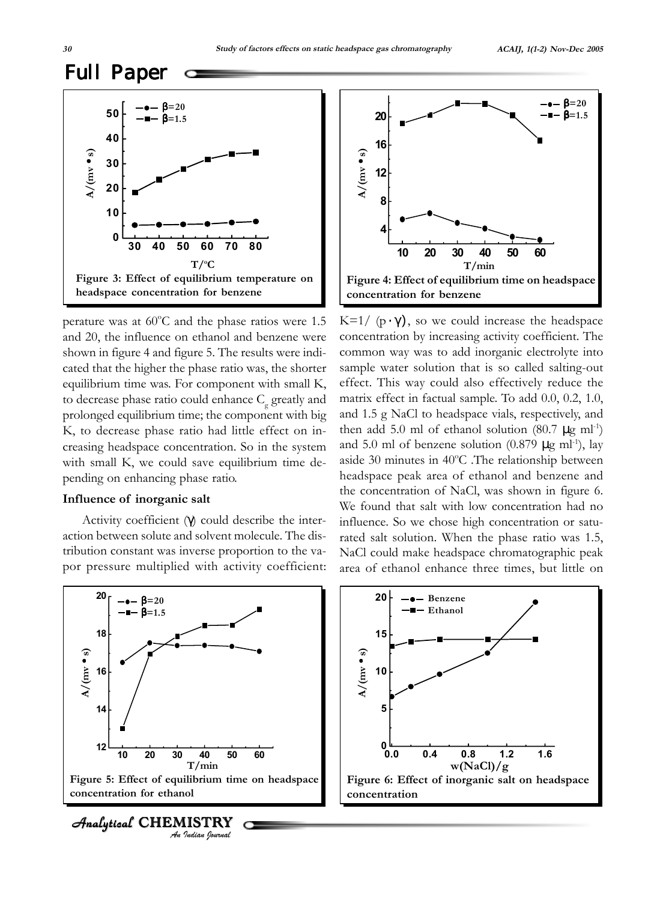# Full Paper



perature was at  $60^{\circ}$ C and the phase ratios were 1.5 and 20, the influence on ethanol and benzene were shown in figure 4 and figure 5. The results were indicated that the higher the phase ratio was, the shorter equilibrium time was. For component with small K, to decrease phase ratio could enhance  $C_{\rm g}$  greatly and prolonged equilibrium time; the component with big K, to decrease phase ratio had little effect on increasing headspace concentration. So in the system with small K, we could save equilibrium time depending on enhancing phase ratio. por pressure multiplied with activity coefficient: **A/(mv** • **s)**

#### **Influence of inorganic salt**

Activity coefficient (γ) could describe the interaction between solute and solvent molecule. The distribution constant was inverse proportion to the va-



**concentration**<br> **concentration**<br> **concentration**<br> **concentration**<br> **concentration**<br> **concentration**<br> **concentration**<br> **concentration**<br> **concentration**<br> **concentration**<br> **concentration**<br> **concentration**<br> **concentration**<br> K=1/  $(p \cdot \gamma)$ , so we could increase the headspace concentration by increasing activity coefficient. The common way was to add inorganic electrolyte into sample water solution that is so called salting-out effect. This way could also effectively reduce the matrix effect in factual sample. To add 0.0, 0.2, 1.0, and 1.5 g NaCl to headspace vials, respectively, and then add 5.0 ml of ethanol solution (80.7  $\mu$ g ml<sup>-1</sup>) and 5.0 ml of benzene solution  $(0.879 \mu g \text{ ml}^{-1})$ , lay aside 30 minutes in 40°C. The relationship between headspace peak area of ethanol and benzene and the concentration of NaCl, was shown in figure 6. We found that salt with low concentration had no influence. So we chose high concentration or saturated salt solution. When the phase ratio was 1.5, NaCl could make headspace chromatographic peak area of ethanol enhance three times, but little on